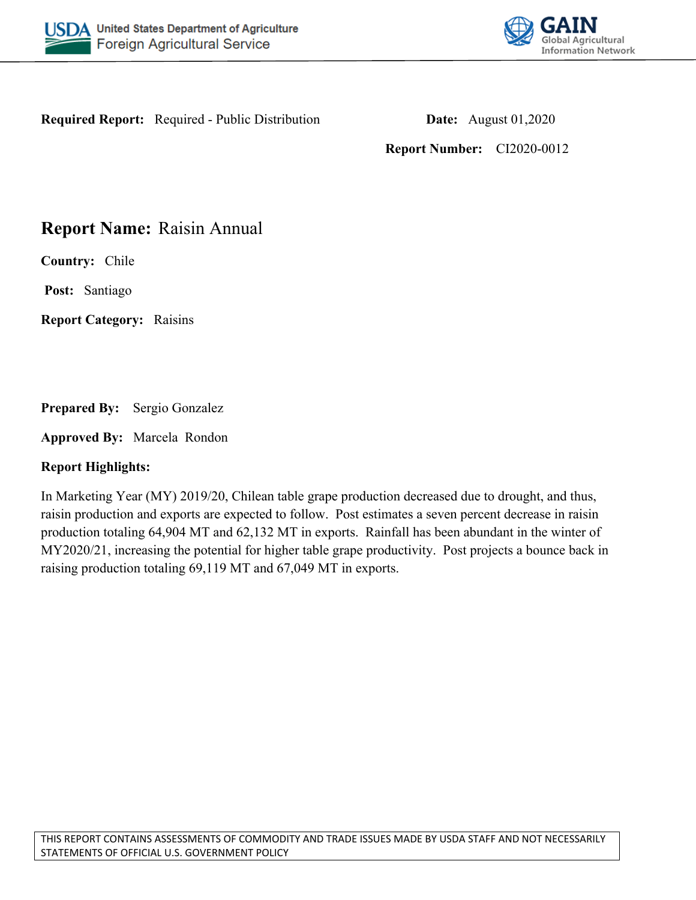



**Required Report:** Required - Public Distribution **Date:** August 01,2020

**Report Number:** CI2020-0012

## **Report Name:** Raisin Annual

**Country:** Chile

**Post:** Santiago

**Report Category:** Raisins

**Prepared By:** Sergio Gonzalez

**Approved By:** Marcela Rondon

### **Report Highlights:**

In Marketing Year (MY) 2019/20, Chilean table grape production decreased due to drought, and thus, raisin production and exports are expected to follow. Post estimates a seven percent decrease in raisin production totaling 64,904 MT and 62,132 MT in exports. Rainfall has been abundant in the winter of MY2020/21, increasing the potential for higher table grape productivity. Post projects a bounce back in raising production totaling 69,119 MT and 67,049 MT in exports.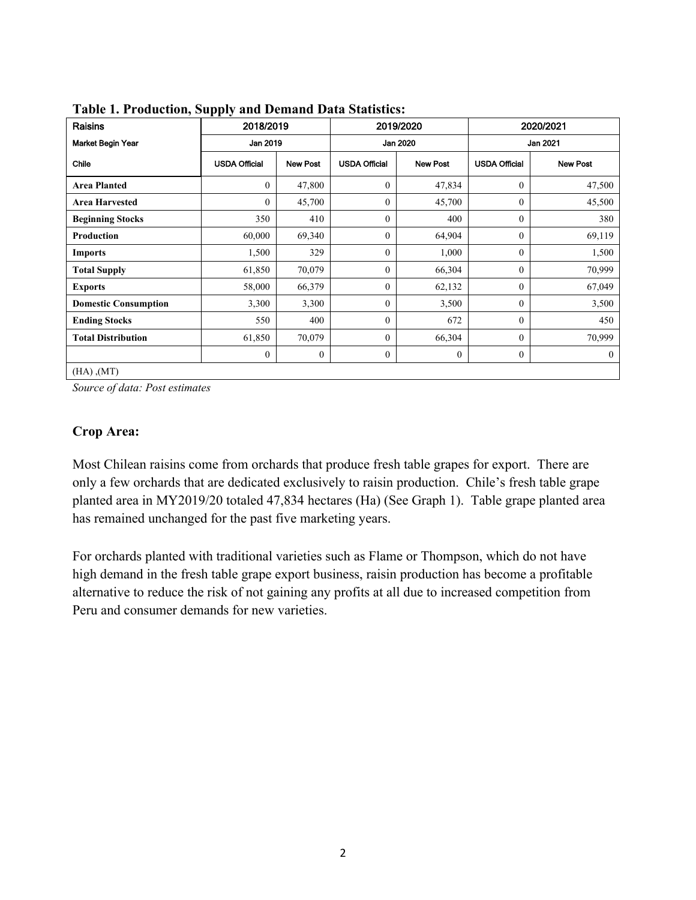| Raisins                     | .<br>2018/2019<br>Jan 2019 |                 | 2019/2020<br>Jan 2020 |                 | 2020/2021<br>Jan 2021 |                 |
|-----------------------------|----------------------------|-----------------|-----------------------|-----------------|-----------------------|-----------------|
| <b>Market Begin Year</b>    |                            |                 |                       |                 |                       |                 |
| Chile                       | <b>USDA Official</b>       | <b>New Post</b> | <b>USDA Official</b>  | <b>New Post</b> | <b>USDA Official</b>  | <b>New Post</b> |
| <b>Area Planted</b>         | $\mathbf{0}$               | 47,800          | $\mathbf{0}$          | 47,834          | $\mathbf{0}$          | 47,500          |
| <b>Area Harvested</b>       | $\Omega$                   | 45,700          | $\Omega$              | 45,700          | $\Omega$              | 45,500          |
| <b>Beginning Stocks</b>     | 350                        | 410             | $\Omega$              | 400             | $\mathbf{0}$          | 380             |
| Production                  | 60,000                     | 69,340          | $\Omega$              | 64,904          | $\theta$              | 69,119          |
| <b>Imports</b>              | 1,500                      | 329             | $\mathbf{0}$          | 1,000           | $\mathbf{0}$          | 1,500           |
| <b>Total Supply</b>         | 61,850                     | 70,079          | $\theta$              | 66,304          | $\theta$              | 70,999          |
| <b>Exports</b>              | 58,000                     | 66,379          | $\overline{0}$        | 62,132          | $\theta$              | 67,049          |
| <b>Domestic Consumption</b> | 3,300                      | 3,300           | $\mathbf{0}$          | 3,500           | $\overline{0}$        | 3,500           |
| <b>Ending Stocks</b>        | 550                        | 400             | $\Omega$              | 672             | $\theta$              | 450             |
| <b>Total Distribution</b>   | 61,850                     | 70,079          | $\Omega$              | 66,304          | $\theta$              | 70,999          |
|                             | $\theta$                   | $\theta$        | $\mathbf{0}$          | $\theta$        | $\mathbf{0}$          | $\overline{0}$  |
| $(HA)$ , $(MT)$             |                            |                 |                       |                 |                       |                 |

**Table 1. Production, Supply and Demand Data Statistics:**

*Source of data: Post estimates*

## **Crop Area:**

Most Chilean raisins come from orchards that produce fresh table grapes for export. There are only a few orchards that are dedicated exclusively to raisin production. Chile's fresh table grape planted area in MY2019/20 totaled 47,834 hectares (Ha) (See Graph 1). Table grape planted area has remained unchanged for the past five marketing years.

For orchards planted with traditional varieties such as Flame or Thompson, which do not have high demand in the fresh table grape export business, raisin production has become a profitable alternative to reduce the risk of not gaining any profits at all due to increased competition from Peru and consumer demands for new varieties.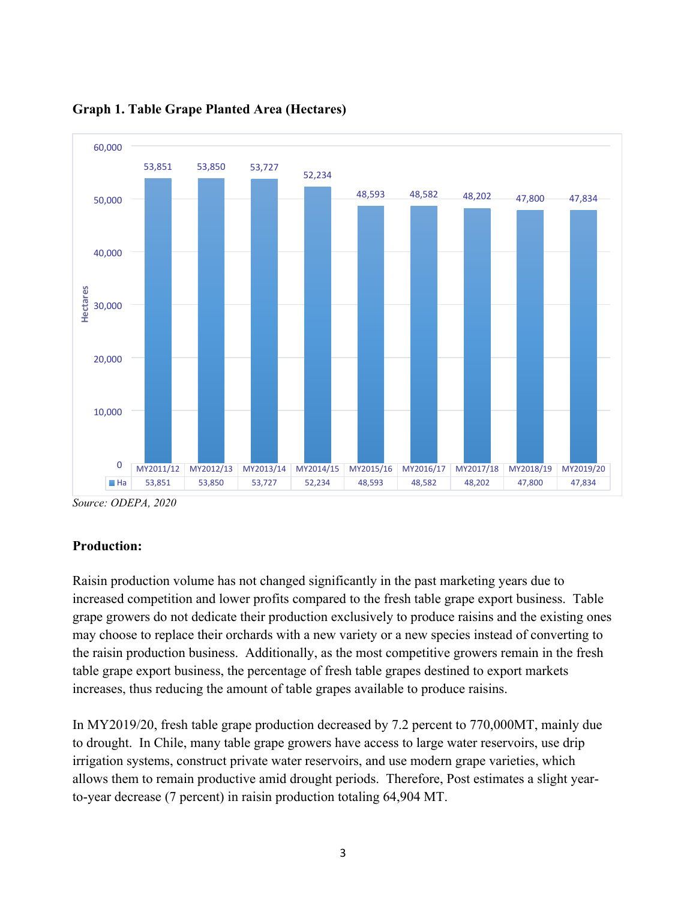

**Graph 1. Table Grape Planted Area (Hectares)**

*Source: ODEPA, 2020*

### **Production:**

Raisin production volume has not changed significantly in the past marketing years due to increased competition and lower profits compared to the fresh table grape export business. Table grape growers do not dedicate their production exclusively to produce raisins and the existing ones may choose to replace their orchards with a new variety or a new species instead of converting to the raisin production business. Additionally, as the most competitive growers remain in the fresh table grape export business, the percentage of fresh table grapes destined to export markets increases, thus reducing the amount of table grapes available to produce raisins.

In MY2019/20, fresh table grape production decreased by 7.2 percent to 770,000MT, mainly due to drought. In Chile, many table grape growers have access to large water reservoirs, use drip irrigation systems, construct private water reservoirs, and use modern grape varieties, which allows them to remain productive amid drought periods. Therefore, Post estimates a slight yearto-year decrease (7 percent) in raisin production totaling 64,904 MT.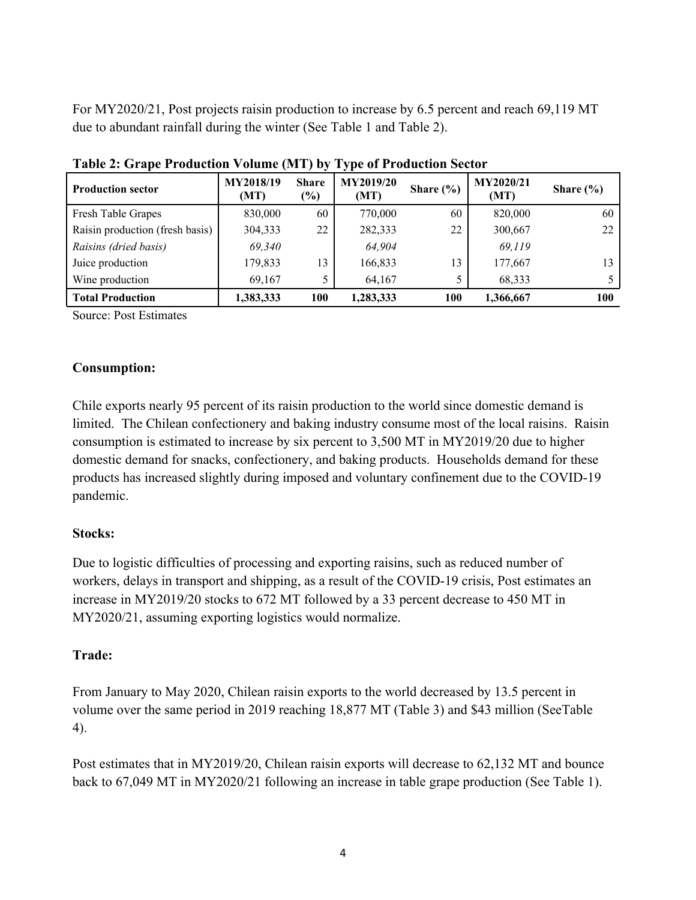For MY2020/21, Post projects raisin production to increase by 6.5 percent and reach 69,119 MT due to abundant rainfall during the winter (See Table 1 and Table 2).

| There is grupe required to build $\{x_1, y_2, z_3, y_4, z_5, z_6, z_7, z_8, z_9, z_1, z_2, z_4, z_6, z_7, z_8, z_9, z_1, z_2, z_4, z_6, z_7, z_8, z_9, z_9, z_1, z_2, z_4, z_6, z_7, z_8, z_9, z_9, z_1, z_2, z_4, z_6, z_7, z_8, z_9, z_9, z_9, z_1, z_2, z_4, z_6, z_7, z$ |                   |                        |                          |               |                          |               |  |
|------------------------------------------------------------------------------------------------------------------------------------------------------------------------------------------------------------------------------------------------------------------------------|-------------------|------------------------|--------------------------|---------------|--------------------------|---------------|--|
| <b>Production sector</b>                                                                                                                                                                                                                                                     | MY2018/19<br>(MT) | <b>Share</b><br>$(\%)$ | <b>MY2019/20</b><br>(MT) | Share $(\% )$ | <b>MY2020/21</b><br>(MT) | Share $(\% )$ |  |
| Fresh Table Grapes                                                                                                                                                                                                                                                           | 830,000           | 60                     | 770,000                  | 60            | 820,000                  | 60            |  |
| Raisin production (fresh basis)                                                                                                                                                                                                                                              | 304,333           | 22                     | 282,333                  | 22            | 300,667                  | 22            |  |
| Raisins (dried basis)                                                                                                                                                                                                                                                        | 69,340            |                        | 64,904                   |               | 69,119                   |               |  |
| Juice production                                                                                                                                                                                                                                                             | 179,833           | 13                     | 166,833                  | 13            | 177,667                  | 13            |  |
| Wine production                                                                                                                                                                                                                                                              | 69,167            |                        | 64,167                   |               | 68,333                   |               |  |
| <b>Total Production</b>                                                                                                                                                                                                                                                      | 1,383,333         | 100                    | 1,283,333                | 100           | 1,366,667                | <b>100</b>    |  |

**Table 2: Grape Production Volume (MT) by Type of Production Sector**

Source: Post Estimates

### **Consumption:**

Chile exports nearly 95 percent of its raisin production to the world since domestic demand is limited. The Chilean confectionery and baking industry consume most of the local raisins. Raisin consumption is estimated to increase by six percent to 3,500 MT in MY2019/20 due to higher domestic demand for snacks, confectionery, and baking products. Households demand for these products has increased slightly during imposed and voluntary confinement due to the COVID-19 pandemic.

### **Stocks:**

Due to logistic difficulties of processing and exporting raisins, such as reduced number of workers, delays in transport and shipping, as a result of the COVID-19 crisis, Post estimates an increase in MY2019/20 stocks to 672 MT followed by a 33 percent decrease to 450 MT in MY2020/21, assuming exporting logistics would normalize.

### **Trade:**

From January to May 2020, Chilean raisin exports to the world decreased by 13.5 percent in volume over the same period in 2019 reaching 18,877 MT (Table 3) and \$43 million (SeeTable 4).

Post estimates that in MY2019/20, Chilean raisin exports will decrease to 62,132 MT and bounce back to 67,049 MT in MY2020/21 following an increase in table grape production (See Table 1).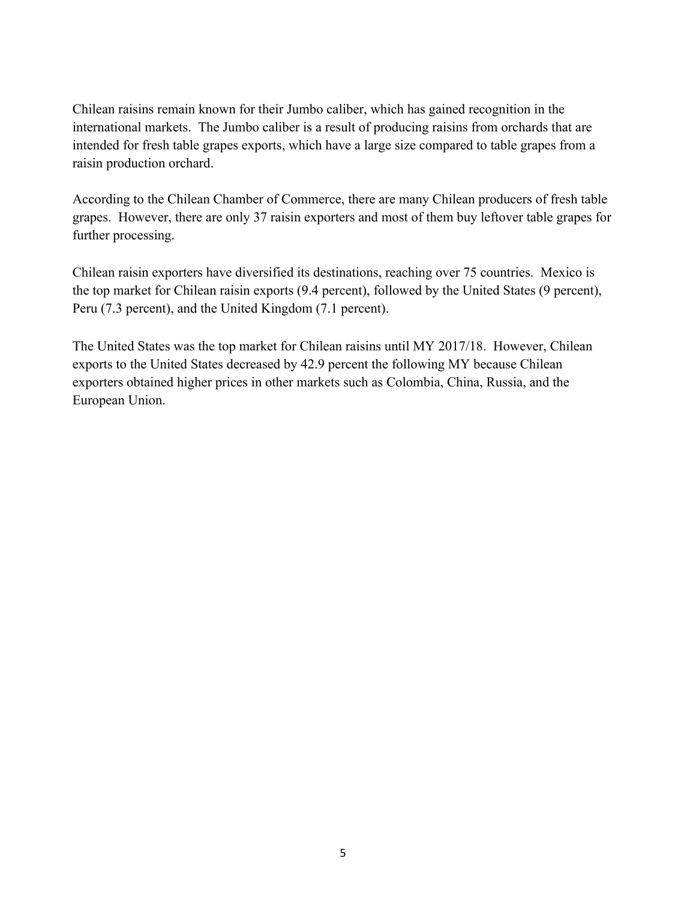Chilean raisins remain known for their Jumbo caliber, which has gained recognition in the international markets. The Jumbo caliber is a result of producing raisins from orchards that are intended for fresh table grapes exports, which have a large size compared to table grapes from a raisin production orchard.

According to the Chilean Chamber of Commerce, there are many Chilean producers of fresh table grapes. However, there are only 37 raisin exporters and most of them buy leftover table grapes for further processing.

Chilean raisin exporters have diversified its destinations, reaching over 75 countries. Mexico is the top market for Chilean raisin exports (9.4 percent), followed by the United States (9 percent), Peru (7.3 percent), and the United Kingdom (7.1 percent).

The United States was the top market for Chilean raisins until MY 2017/18. However, Chilean exports to the United States decreased by 42.9 percent the following MY because Chilean exporters obtained higher prices in other markets such as Colombia, China, Russia, and the European Union.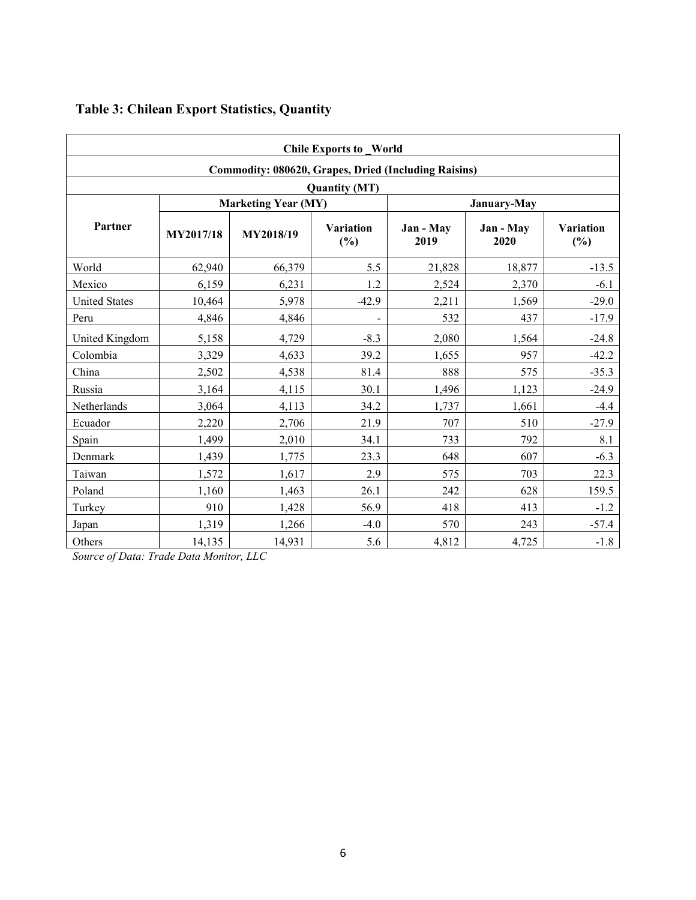| <b>Chile Exports to World</b>                               |           |                            |                          |                   |                   |                            |  |  |
|-------------------------------------------------------------|-----------|----------------------------|--------------------------|-------------------|-------------------|----------------------------|--|--|
| <b>Commodity: 080620, Grapes, Dried (Including Raisins)</b> |           |                            |                          |                   |                   |                            |  |  |
| <b>Quantity (MT)</b>                                        |           |                            |                          |                   |                   |                            |  |  |
| Partner                                                     |           | <b>Marketing Year (MY)</b> |                          | January-May       |                   |                            |  |  |
|                                                             | MY2017/18 | MY2018/19                  | Variation<br>$(\%)$      | Jan - May<br>2019 | Jan - May<br>2020 | <b>Variation</b><br>$(\%)$ |  |  |
| World                                                       | 62,940    | 66,379                     | 5.5                      | 21,828            | 18,877            | $-13.5$                    |  |  |
| Mexico                                                      | 6,159     | 6,231                      | 1.2                      | 2,524             | 2,370             | $-6.1$                     |  |  |
| <b>United States</b>                                        | 10,464    | 5,978                      | $-42.9$                  | 2,211             | 1,569             | $-29.0$                    |  |  |
| Peru                                                        | 4,846     | 4,846                      | $\overline{\phantom{0}}$ | 532               | 437               | $-17.9$                    |  |  |
| United Kingdom                                              | 5,158     | 4,729                      | $-8.3$                   | 2,080             | 1,564             | $-24.8$                    |  |  |
| Colombia                                                    | 3,329     | 4,633                      | 39.2                     | 1,655             | 957               | $-42.2$                    |  |  |
| China                                                       | 2,502     | 4,538                      | 81.4                     | 888               | 575               | $-35.3$                    |  |  |
| Russia                                                      | 3,164     | 4,115                      | 30.1                     | 1,496             | 1,123             | $-24.9$                    |  |  |
| <b>Netherlands</b>                                          | 3,064     | 4,113                      | 34.2                     | 1,737             | 1,661             | $-4.4$                     |  |  |
| Ecuador                                                     | 2,220     | 2,706                      | 21.9                     | 707               | 510               | $-27.9$                    |  |  |
| Spain                                                       | 1,499     | 2,010                      | 34.1                     | 733               | 792               | 8.1                        |  |  |
| Denmark                                                     | 1,439     | 1,775                      | 23.3                     | 648               | 607               | $-6.3$                     |  |  |
| Taiwan                                                      | 1,572     | 1,617                      | 2.9                      | 575               | 703               | 22.3                       |  |  |
| Poland                                                      | 1,160     | 1,463                      | 26.1                     | 242               | 628               | 159.5                      |  |  |
| Turkey                                                      | 910       | 1,428                      | 56.9                     | 418               | 413               | $-1.2$                     |  |  |
| Japan                                                       | 1,319     | 1,266                      | $-4.0$                   | 570               | 243               | $-57.4$                    |  |  |
| Others                                                      | 14,135    | 14,931                     | 5.6                      | 4,812             | 4,725             | $-1.8$                     |  |  |

# **Table 3: Chilean Export Statistics, Quantity**

*Source of Data: Trade Data Monitor, LLC*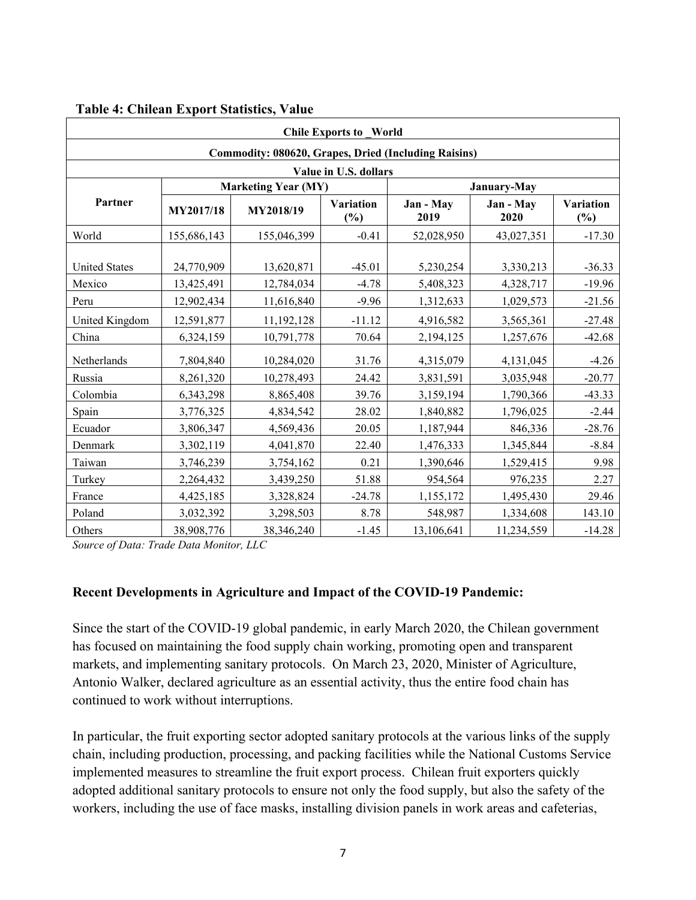| <b>Chile Exports to World</b>                               |             |                            |                         |                   |                   |                         |  |
|-------------------------------------------------------------|-------------|----------------------------|-------------------------|-------------------|-------------------|-------------------------|--|
| <b>Commodity: 080620, Grapes, Dried (Including Raisins)</b> |             |                            |                         |                   |                   |                         |  |
| Value in U.S. dollars                                       |             |                            |                         |                   |                   |                         |  |
|                                                             |             | <b>Marketing Year (MY)</b> |                         | January-May       |                   |                         |  |
| Partner                                                     | MY2017/18   | MY2018/19                  | <b>Variation</b><br>(%) | Jan - May<br>2019 | Jan - May<br>2020 | <b>Variation</b><br>(%) |  |
| World                                                       | 155,686,143 | 155,046,399                | $-0.41$                 | 52,028,950        | 43,027,351        | $-17.30$                |  |
| <b>United States</b>                                        | 24,770,909  | 13,620,871                 | $-45.01$                | 5,230,254         | 3,330,213         | $-36.33$                |  |
| Mexico                                                      | 13,425,491  | 12,784,034                 | $-4.78$                 | 5,408,323         | 4,328,717         | $-19.96$                |  |
| Peru                                                        | 12,902,434  | 11,616,840                 | $-9.96$                 | 1,312,633         | 1,029,573         | $-21.56$                |  |
| United Kingdom                                              | 12,591,877  | 11,192,128                 | $-11.12$                | 4,916,582         | 3,565,361         | $-27.48$                |  |
| China                                                       | 6,324,159   | 10,791,778                 | 70.64                   | 2,194,125         | 1,257,676         | $-42.68$                |  |
| Netherlands                                                 | 7,804,840   | 10,284,020                 | 31.76                   | 4,315,079         | 4,131,045         | $-4.26$                 |  |
| Russia                                                      | 8,261,320   | 10,278,493                 | 24.42                   | 3,831,591         | 3,035,948         | $-20.77$                |  |
| Colombia                                                    | 6,343,298   | 8,865,408                  | 39.76                   | 3,159,194         | 1,790,366         | $-43.33$                |  |
| Spain                                                       | 3,776,325   | 4,834,542                  | 28.02                   | 1,840,882         | 1,796,025         | $-2.44$                 |  |
| Ecuador                                                     | 3,806,347   | 4,569,436                  | 20.05                   | 1,187,944         | 846,336           | $-28.76$                |  |
| Denmark                                                     | 3,302,119   | 4,041,870                  | 22.40                   | 1,476,333         | 1,345,844         | $-8.84$                 |  |
| Taiwan                                                      | 3,746,239   | 3,754,162                  | 0.21                    | 1,390,646         | 1,529,415         | 9.98                    |  |
| Turkey                                                      | 2,264,432   | 3,439,250                  | 51.88                   | 954,564           | 976,235           | 2.27                    |  |
| France                                                      | 4,425,185   | 3,328,824                  | $-24.78$                | 1,155,172         | 1,495,430         | 29.46                   |  |
| Poland                                                      | 3,032,392   | 3,298,503                  | 8.78                    | 548,987           | 1,334,608         | 143.10                  |  |
| Others                                                      | 38,908,776  | 38,346,240                 | $-1.45$                 | 13,106,641        | 11,234,559        | $-14.28$                |  |

#### **Table 4: Chilean Export Statistics, Value**

*Source of Data: Trade Data Monitor, LLC*

#### **Recent Developments in Agriculture and Impact of the COVID-19 Pandemic:**

Since the start of the COVID-19 global pandemic, in early March 2020, the Chilean government has focused on maintaining the food supply chain working, promoting open and transparent markets, and implementing sanitary protocols. On March 23, 2020, Minister of Agriculture, Antonio Walker, declared agriculture as an essential activity, thus the entire food chain has continued to work without interruptions.

In particular, the fruit exporting sector adopted sanitary protocols at the various links of the supply chain, including production, processing, and packing facilities while the National Customs Service implemented measures to streamline the fruit export process. Chilean fruit exporters quickly adopted additional sanitary protocols to ensure not only the food supply, but also the safety of the workers, including the use of face masks, installing division panels in work areas and cafeterias,